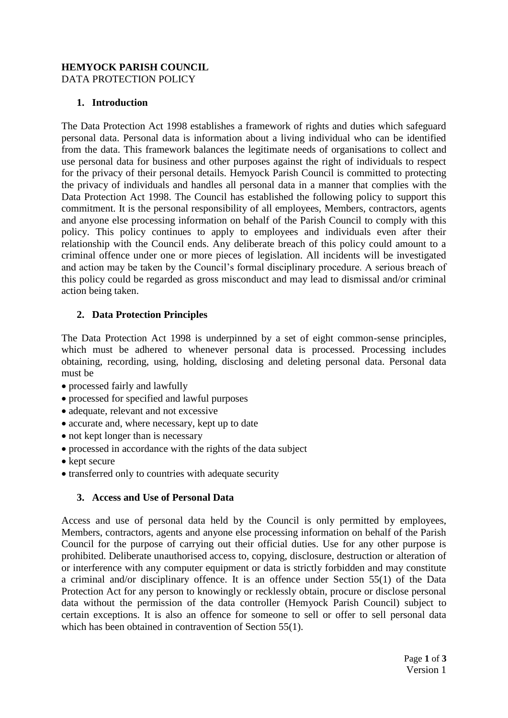#### **HEMYOCK PARISH COUNCIL**  DATA PROTECTION POLICY

### **1. Introduction**

The Data Protection Act 1998 establishes a framework of rights and duties which safeguard personal data. Personal data is information about a living individual who can be identified from the data. This framework balances the legitimate needs of organisations to collect and use personal data for business and other purposes against the right of individuals to respect for the privacy of their personal details. Hemyock Parish Council is committed to protecting the privacy of individuals and handles all personal data in a manner that complies with the Data Protection Act 1998. The Council has established the following policy to support this commitment. It is the personal responsibility of all employees, Members, contractors, agents and anyone else processing information on behalf of the Parish Council to comply with this policy. This policy continues to apply to employees and individuals even after their relationship with the Council ends. Any deliberate breach of this policy could amount to a criminal offence under one or more pieces of legislation. All incidents will be investigated and action may be taken by the Council's formal disciplinary procedure. A serious breach of this policy could be regarded as gross misconduct and may lead to dismissal and/or criminal action being taken.

# **2. Data Protection Principles**

The Data Protection Act 1998 is underpinned by a set of eight common-sense principles, which must be adhered to whenever personal data is processed. Processing includes obtaining, recording, using, holding, disclosing and deleting personal data. Personal data must be

- processed fairly and lawfully
- processed for specified and lawful purposes
- adequate, relevant and not excessive
- accurate and, where necessary, kept up to date
- not kept longer than is necessary
- processed in accordance with the rights of the data subject
- kept secure
- transferred only to countries with adequate security

#### **3. Access and Use of Personal Data**

Access and use of personal data held by the Council is only permitted by employees, Members, contractors, agents and anyone else processing information on behalf of the Parish Council for the purpose of carrying out their official duties. Use for any other purpose is prohibited. Deliberate unauthorised access to, copying, disclosure, destruction or alteration of or interference with any computer equipment or data is strictly forbidden and may constitute a criminal and/or disciplinary offence. It is an offence under Section 55(1) of the Data Protection Act for any person to knowingly or recklessly obtain, procure or disclose personal data without the permission of the data controller (Hemyock Parish Council) subject to certain exceptions. It is also an offence for someone to sell or offer to sell personal data which has been obtained in contravention of Section 55(1).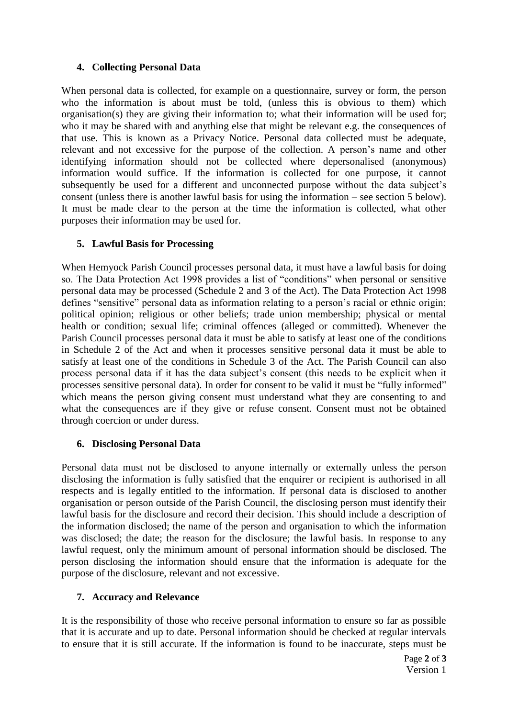### **4. Collecting Personal Data**

When personal data is collected, for example on a questionnaire, survey or form, the person who the information is about must be told, (unless this is obvious to them) which organisation(s) they are giving their information to; what their information will be used for; who it may be shared with and anything else that might be relevant e.g. the consequences of that use. This is known as a Privacy Notice. Personal data collected must be adequate, relevant and not excessive for the purpose of the collection. A person's name and other identifying information should not be collected where depersonalised (anonymous) information would suffice. If the information is collected for one purpose, it cannot subsequently be used for a different and unconnected purpose without the data subject's consent (unless there is another lawful basis for using the information – see section 5 below). It must be made clear to the person at the time the information is collected, what other purposes their information may be used for.

# **5. Lawful Basis for Processing**

When Hemyock Parish Council processes personal data, it must have a lawful basis for doing so. The Data Protection Act 1998 provides a list of "conditions" when personal or sensitive personal data may be processed (Schedule 2 and 3 of the Act). The Data Protection Act 1998 defines "sensitive" personal data as information relating to a person's racial or ethnic origin; political opinion; religious or other beliefs; trade union membership; physical or mental health or condition; sexual life; criminal offences (alleged or committed). Whenever the Parish Council processes personal data it must be able to satisfy at least one of the conditions in Schedule 2 of the Act and when it processes sensitive personal data it must be able to satisfy at least one of the conditions in Schedule 3 of the Act. The Parish Council can also process personal data if it has the data subject's consent (this needs to be explicit when it processes sensitive personal data). In order for consent to be valid it must be "fully informed" which means the person giving consent must understand what they are consenting to and what the consequences are if they give or refuse consent. Consent must not be obtained through coercion or under duress.

# **6. Disclosing Personal Data**

Personal data must not be disclosed to anyone internally or externally unless the person disclosing the information is fully satisfied that the enquirer or recipient is authorised in all respects and is legally entitled to the information. If personal data is disclosed to another organisation or person outside of the Parish Council, the disclosing person must identify their lawful basis for the disclosure and record their decision. This should include a description of the information disclosed; the name of the person and organisation to which the information was disclosed; the date; the reason for the disclosure; the lawful basis. In response to any lawful request, only the minimum amount of personal information should be disclosed. The person disclosing the information should ensure that the information is adequate for the purpose of the disclosure, relevant and not excessive.

# **7. Accuracy and Relevance**

It is the responsibility of those who receive personal information to ensure so far as possible that it is accurate and up to date. Personal information should be checked at regular intervals to ensure that it is still accurate. If the information is found to be inaccurate, steps must be